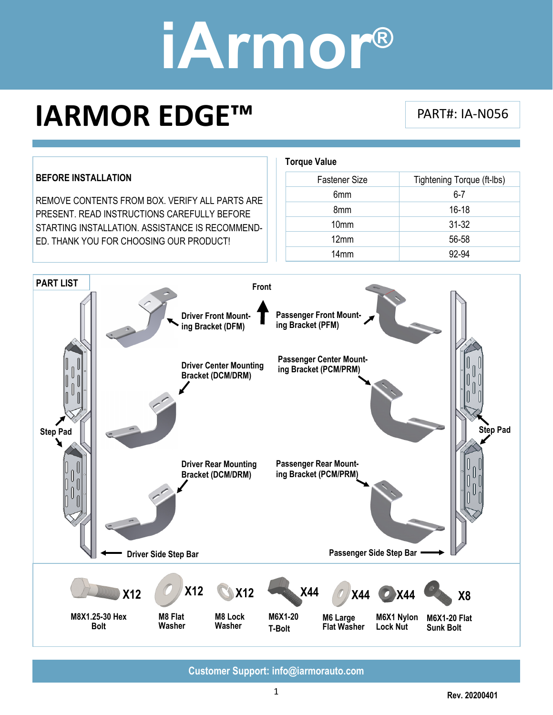### **IARMOR EDGE™** PART#: IA-N056



**Customer Support: info@iarmorauto.com**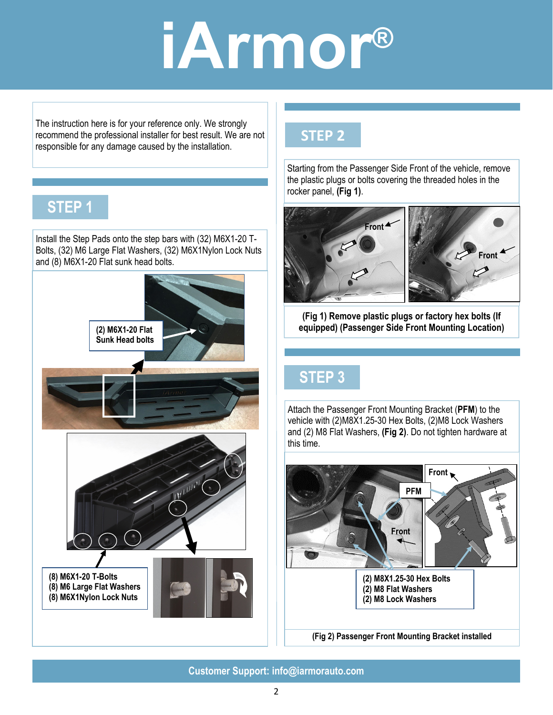The instruction here is for your reference only. We strongly recommend the professional installer for best result. We are not responsible for any damage caused by the installation.

#### **STEP 1**

Install the Step Pads onto the step bars with (32) M6X1-20 T-Bolts, (32) M6 Large Flat Washers, (32) M6X1Nylon Lock Nuts and (8) M6X1-20 Flat sunk head bolts.



#### **STEP 2**

Starting from the Passenger Side Front of the vehicle, remove the plastic plugs or bolts covering the threaded holes in the rocker panel, **(Fig 1)**.



**(Fig 1) Remove plastic plugs or factory hex bolts (If equipped) (Passenger Side Front Mounting Location)** 

### **STEP 3**

Attach the Passenger Front Mounting Bracket (**PFM**) to the vehicle with (2)M8X1.25-30 Hex Bolts, (2)M8 Lock Washers and (2) M8 Flat Washers, **(Fig 2)**. Do not tighten hardware at this time.



**Customer Support: info@iarmorauto.com**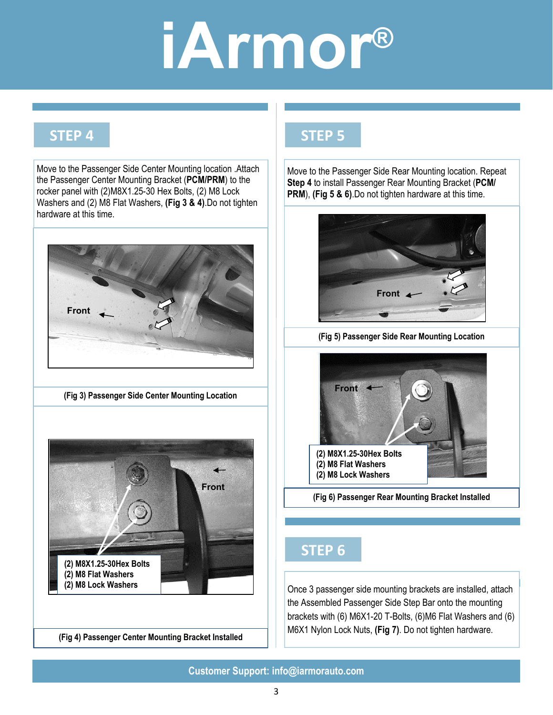#### **STEP 4**

Move to the Passenger Side Center Mounting location .Attach the Passenger Center Mounting Bracket (**PCM/PRM**) to the rocker panel with (2)M8X1.25-30 Hex Bolts, (2) M8 Lock Washers and (2) M8 Flat Washers, **(Fig 3 & 4)**.Do not tighten hardware at this time.



**(Fig 3) Passenger Side Center Mounting Location** 



**(Fig 4) Passenger Center Mounting Bracket Installed** 

#### **STEP 5**

Move to the Passenger Side Rear Mounting location. Repeat **Step 4** to install Passenger Rear Mounting Bracket (**PCM/ PRM**), **(Fig 5 & 6)**.Do not tighten hardware at this time.



**(Fig 5) Passenger Side Rear Mounting Location** 



**(Fig 6) Passenger Rear Mounting Bracket Installed** 

#### **STEP 6**

**STEP 7** brackets with (6) M6X1-20 T-Bolts, (6)M6 Flat Washers and (6) Once 3 passenger side mounting brackets are installed, attach the Assembled Passenger Side Step Bar onto the mounting M6X1 Nylon Lock Nuts, **(Fig 7)**. Do not tighten hardware.

**Customer Support: info@iarmorauto.com**